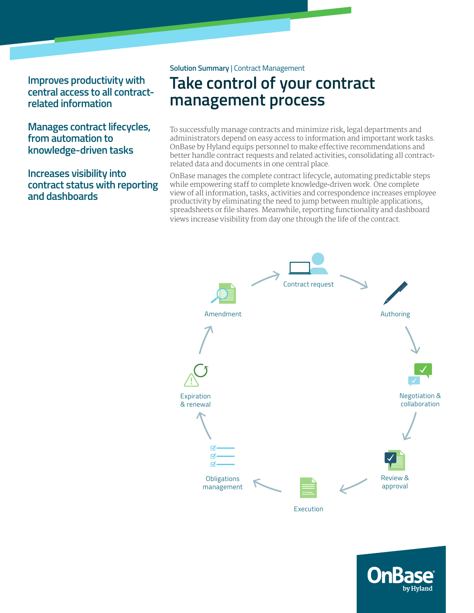**Improves productivity with central access to all contractrelated information**

**Manages contract lifecycles, from automation to knowledge-driven tasks**

**Increases visibility into contract status with reporting and dashboards**

#### **Solution Summary** | Contract Management

# **Take control of your contract management process**

To successfully manage contracts and minimize risk, legal departments and administrators depend on easy access to information and important work tasks. OnBase by Hyland equips personnel to make effective recommendations and better handle contract requests and related activities, consolidating all contractrelated data and documents in one central place.

OnBase manages the complete contract lifecycle, automating predictable steps while empowering staff to complete knowledge-driven work. One complete view of all information, tasks, activities and correspondence increases employee productivity by eliminating the need to jump between multiple applications, spreadsheets or file shares. Meanwhile, reporting functionality and dashboard views increase visibility from day one through the life of the contract.